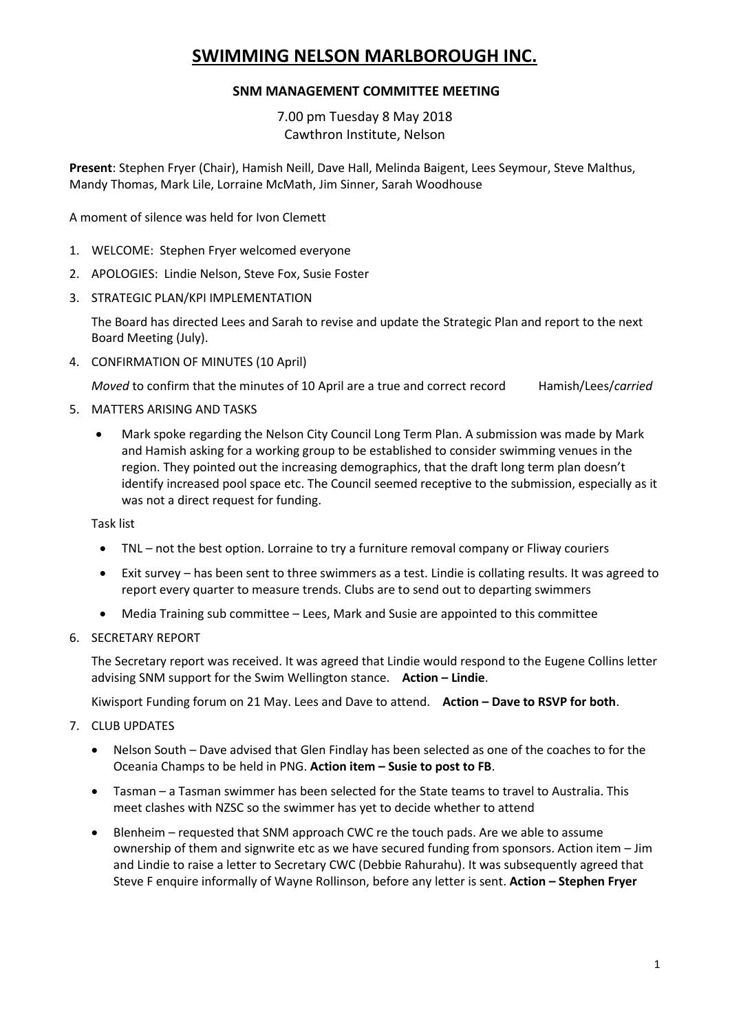# **SWIMMING NELSON MARLBOROUGH INC.**

## **SNM MANAGEMENT COMMITTEE MEETING**

7.00 pm Tuesday 8 May 2018 Cawthron Institute, Nelson

**Present**: Stephen Fryer (Chair), Hamish Neill, Dave Hall, Melinda Baigent, Lees Seymour, Steve Malthus, Mandy Thomas, Mark Lile, Lorraine McMath, Jim Sinner, Sarah Woodhouse

A moment of silence was held for Ivon Clemett

- 1. WELCOME: Stephen Fryer welcomed everyone
- 2. APOLOGIES: Lindie Nelson, Steve Fox, Susie Foster
- 3. STRATEGIC PLAN/KPI IMPLEMENTATION

The Board has directed Lees and Sarah to revise and update the Strategic Plan and report to the next Board Meeting (July).

4. CONFIRMATION OF MINUTES (10 April)

*Moved* to confirm that the minutes of 10 April are a true and correct record Hamish/Lees/*carried*

- 5. MATTERS ARISING AND TASKS
	- Mark spoke regarding the Nelson City Council Long Term Plan. A submission was made by Mark and Hamish asking for a working group to be established to consider swimming venues in the region. They pointed out the increasing demographics, that the draft long term plan doesn't identify increased pool space etc. The Council seemed receptive to the submission, especially as it was not a direct request for funding.

Task list

- TNL not the best option. Lorraine to try a furniture removal company or Fliway couriers
- Exit survey has been sent to three swimmers as a test. Lindie is collating results. It was agreed to report every quarter to measure trends. Clubs are to send out to departing swimmers
- Media Training sub committee Lees, Mark and Susie are appointed to this committee
- 6. SECRETARY REPORT

The Secretary report was received. It was agreed that Lindie would respond to the Eugene Collins letter advising SNM support for the Swim Wellington stance. **Action – Lindie**.

Kiwisport Funding forum on 21 May. Lees and Dave to attend. **Action – Dave to RSVP for both**.

- 7. CLUB UPDATES
	- Nelson South Dave advised that Glen Findlay has been selected as one of the coaches to for the Oceania Champs to be held in PNG. **Action item – Susie to post to FB**.
	- Tasman a Tasman swimmer has been selected for the State teams to travel to Australia. This meet clashes with NZSC so the swimmer has yet to decide whether to attend
	- Blenheim requested that SNM approach CWC re the touch pads. Are we able to assume ownership of them and signwrite etc as we have secured funding from sponsors. Action item – Jim and Lindie to raise a letter to Secretary CWC (Debbie Rahurahu). It was subsequently agreed that Steve F enquire informally of Wayne Rollinson, before any letter is sent. **Action – Stephen Fryer**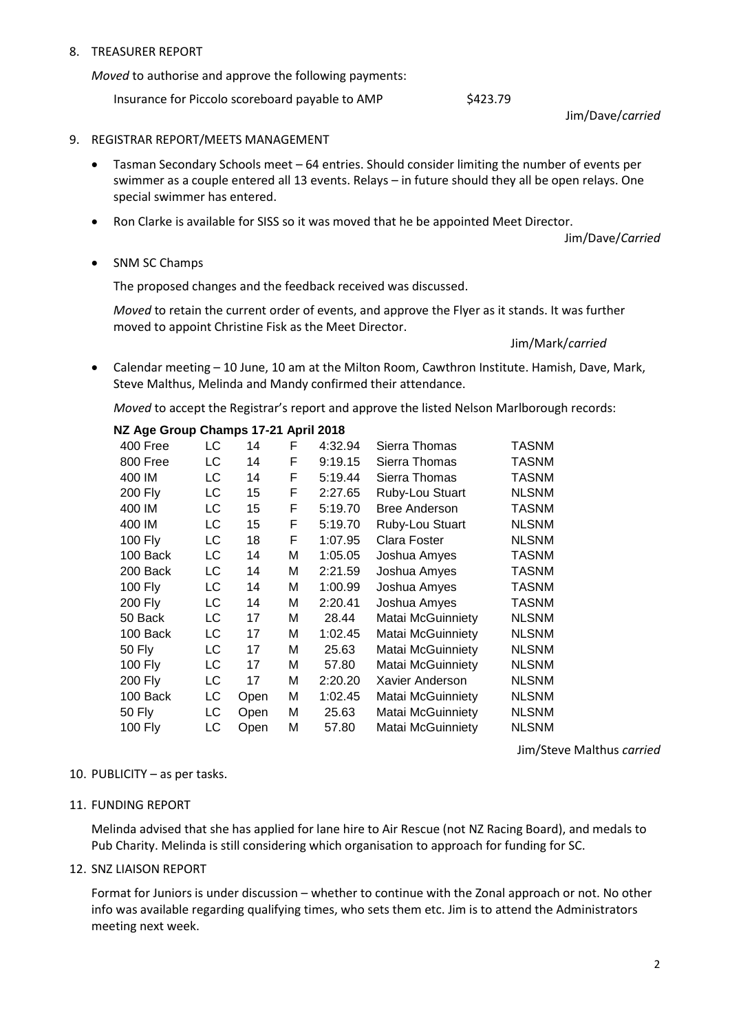### 8. TREASURER REPORT

*Moved* to authorise and approve the following payments:

Insurance for Piccolo scoreboard payable to AMP \$423.79

Jim/Dave/*carried*

#### 9. REGISTRAR REPORT/MEETS MANAGEMENT

- Tasman Secondary Schools meet 64 entries. Should consider limiting the number of events per swimmer as a couple entered all 13 events. Relays – in future should they all be open relays. One special swimmer has entered.
- Ron Clarke is available for SISS so it was moved that he be appointed Meet Director.

Jim/Dave/*Carried*

• SNM SC Champs

The proposed changes and the feedback received was discussed.

*Moved* to retain the current order of events, and approve the Flyer as it stands. It was further moved to appoint Christine Fisk as the Meet Director.

Jim/Mark/*carried*

 Calendar meeting – 10 June, 10 am at the Milton Room, Cawthron Institute. Hamish, Dave, Mark, Steve Malthus, Melinda and Mandy confirmed their attendance.

*Moved* to accept the Registrar's report and approve the listed Nelson Marlborough records:

#### **NZ Age Group Champs 17-21 April 2018**

| 400 Free       | LC | 14   | F | 4:32.94 | Sierra Thomas            | TASNM        |
|----------------|----|------|---|---------|--------------------------|--------------|
| 800 Free       | LC | 14   | F | 9:19.15 | Sierra Thomas            | TASNM        |
| 400 IM         | LC | 14   | F | 5:19.44 | Sierra Thomas            | TASNM        |
| <b>200 Fly</b> | LC | 15   | F | 2:27.65 | Ruby-Lou Stuart          | <b>NLSNM</b> |
| 400 IM         | LC | 15   | F | 5:19.70 | <b>Bree Anderson</b>     | TASNM        |
| 400 IM         | LC | 15   | F | 5:19.70 | Ruby-Lou Stuart          | <b>NLSNM</b> |
| 100 Fly        | LC | 18   | F | 1:07.95 | Clara Foster             | <b>NLSNM</b> |
| 100 Back       | LC | 14   | М | 1:05.05 | Joshua Amyes             | <b>TASNM</b> |
| 200 Back       | LC | 14   | М | 2:21.59 | Joshua Amyes             | TASNM        |
| <b>100 Fly</b> | LC | 14   | M | 1:00.99 | Joshua Amyes             | TASNM        |
| 200 Fly        | LC | 14   | M | 2:20.41 | Joshua Amyes             | <b>TASNM</b> |
| 50 Back        | LC | 17   | М | 28.44   | Matai McGuinniety        | <b>NLSNM</b> |
| 100 Back       | LC | 17   | М | 1:02.45 | <b>Matai McGuinniety</b> | <b>NLSNM</b> |
| 50 Fly         | LC | 17   | М | 25.63   | Matai McGuinniety        | <b>NLSNM</b> |
| 100 Fly        | LC | 17   | М | 57.80   | Matai McGuinniety        | <b>NLSNM</b> |
| 200 Fly        | LC | 17   | М | 2:20.20 | Xavier Anderson          | <b>NLSNM</b> |
| 100 Back       | LC | Open | М | 1:02.45 | Matai McGuinniety        | <b>NLSNM</b> |
| 50 Fly         | LC | Open | Μ | 25.63   | Matai McGuinniety        | <b>NLSNM</b> |
| 100 Fly        | LC | Open | М | 57.80   | Matai McGuinniety        | <b>NLSNM</b> |

Jim/Steve Malthus *carried*

#### 10. PUBLICITY – as per tasks.

11. FUNDING REPORT

Melinda advised that she has applied for lane hire to Air Rescue (not NZ Racing Board), and medals to Pub Charity. Melinda is still considering which organisation to approach for funding for SC.

12. SNZ LIAISON REPORT

Format for Juniors is under discussion – whether to continue with the Zonal approach or not. No other info was available regarding qualifying times, who sets them etc. Jim is to attend the Administrators meeting next week.